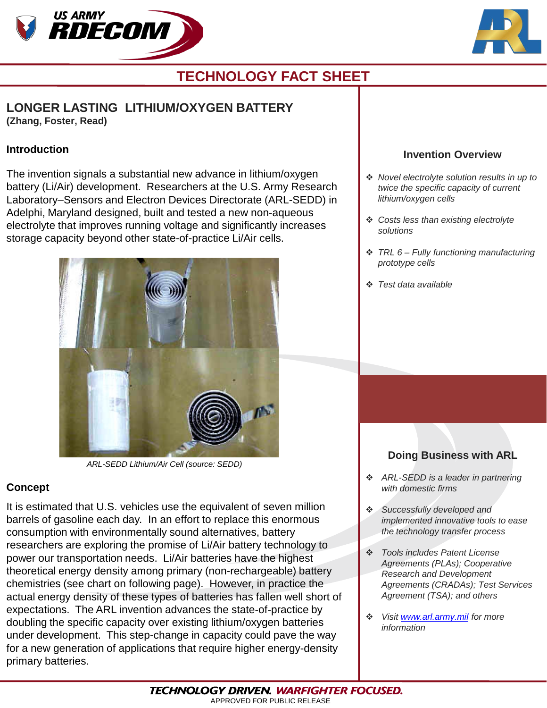



# **TECHNOLOGY FACT SHEET**

### **LONGER LASTING LITHIUM/OXYGEN BATTERY (Zhang, Foster, Read)**

#### **Introduction**

The invention signals a substantial new advance in lithium/oxygen battery (Li/Air) development. Researchers at the U.S. Army Research Laboratory–Sensors and Electron Devices Directorate (ARL-SEDD) in Adelphi, Maryland designed, built and tested a new non-aqueous electrolyte that improves running voltage and significantly increases storage capacity beyond other state-of-practice Li/Air cells.



*ARL-SEDD Lithium/Air Cell (source: SEDD)*

### **Concept**

It is estimated that U.S. vehicles use the equivalent of seven million barrels of gasoline each day. In an effort to replace this enormous consumption with environmentally sound alternatives, battery researchers are exploring the promise of Li/Air battery technology to power our transportation needs. Li/Air batteries have the highest theoretical energy density among primary (non-rechargeable) battery chemistries (see chart on following page). However, in practice the actual energy density of these types of batteries has fallen well short of expectations. The ARL invention advances the state-of-practice by doubling the specific capacity over existing lithium/oxygen batteries under development. This step-change in capacity could pave the way for a new generation of applications that require higher energy-density primary batteries.

### **Invention Overview**

- *Novel electrolyte solution results in up to twice the specific capacity of current lithium/oxygen cells*
- *Costs less than existing electrolyte solutions*
- *TRL 6 – Fully functioning manufacturing prototype cells*
- *Test data available*

## **Doing Business with ARL**

- *ARL-SEDD is a leader in partnering with domestic firms*
- *Successfully developed and implemented innovative tools to ease the technology transfer process*
- *Tools includes Patent License Agreements (PLAs); Cooperative Research and Development Agreements (CRADAs); Test Services Agreement (TSA); and others*
- *Visit [www.arl.army.mil](http://www.arl.army.mil/) for more information*